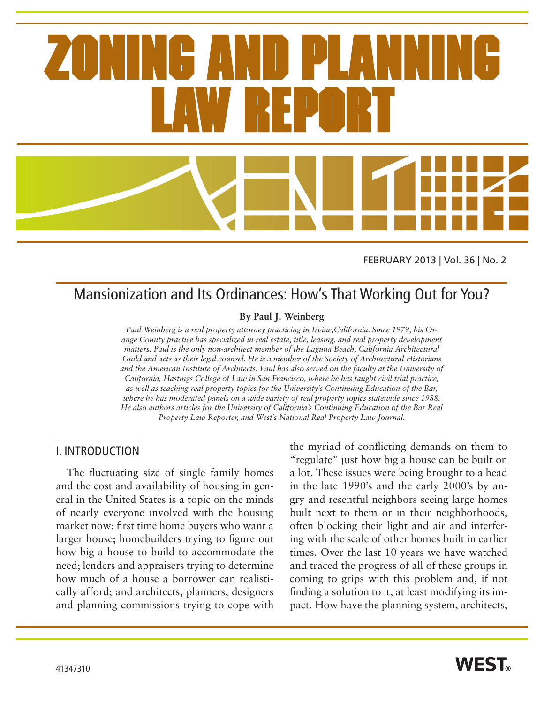FEBRUARY 2013 | Vol. 36 | No. 2

## Mansionization and Its Ordinances: How's That Working Out for You?

#### **By Paul J. Weinberg**

*Paul Weinberg is a real property attorney practicing in Irvine,California. Since 1979, his Orange County practice has specialized in real estate, title, leasing, and real property development matters. Paul is the only non-architect member of the Laguna Beach, California Architectural Guild and acts as their legal counsel. He is a member of the Society of Architectural Historians and the American Institute of Architects. Paul has also served on the faculty at the University of California, Hastings College of Law in San Francisco, where he has taught civil trial practice, as well as teaching real property topics for the University's Continuing Education of the Bar, where he has moderated panels on a wide variety of real property topics statewide since 1988. He also authors articles for the University of California's Continuing Education of the Bar Real Property Law Reporter, and West's National Real Property Law Journal.* 

### I. INTRODUCTION

The fluctuating size of single family homes and the cost and availability of housing in general in the United States is a topic on the minds of nearly everyone involved with the housing market now: first time home buyers who want a larger house; homebuilders trying to figure out how big a house to build to accommodate the need; lenders and appraisers trying to determine how much of a house a borrower can realistically afford; and architects, planners, designers and planning commissions trying to cope with

the myriad of conflicting demands on them to "regulate" just how big a house can be built on a lot. These issues were being brought to a head in the late 1990's and the early 2000's by angry and resentful neighbors seeing large homes built next to them or in their neighborhoods, often blocking their light and air and interfering with the scale of other homes built in earlier times. Over the last 10 years we have watched and traced the progress of all of these groups in coming to grips with this problem and, if not finding a solution to it, at least modifying its impact. How have the planning system, architects,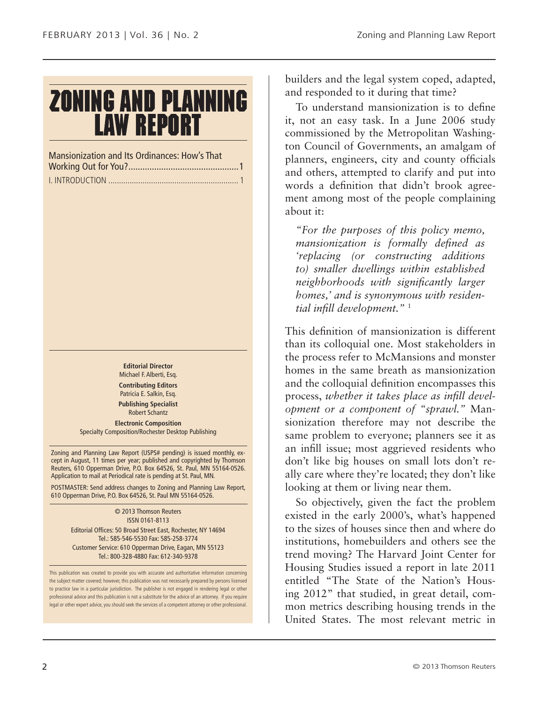# **ZONING AND PLANNING LAW REPORT**

Mansionization and Its Ordinances: How's That Working Out for You?...............................................1 I. INTRODUCTION ............................................................. 1

> **Editorial Director** Michael F. Alberti, Esq. **Contributing Editors** Patricia E. Salkin, Esq. **Publishing Specialist**

Robert Schantz **Electronic Composition** Specialty Composition/Rochester Desktop Publishing

Zoning and Planning Law Report (USPS# pending) is issued monthly, except in August, 11 times per year; published and copyrighted by Thomson Reuters, 610 Opperman Drive, P.O. Box 64526, St. Paul, MN 55164-0526. Application to mail at Periodical rate is pending at St. Paul, MN.

POSTMASTER: Send address changes to Zoning and Planning Law Report, 610 Opperman Drive, P.O. Box 64526, St. Paul MN 55164-0526.

> © 2013 Thomson Reuters ISSN 0161-8113 Editorial Offices: 50 Broad Street East, Rochester, NY 14694 Tel.: 585-546-5530 Fax: 585-258-3774 Customer Service: 610 Opperman Drive, Eagan, MN 55123 Tel.: 800-328-4880 Fax: 612-340-9378

This publication was created to provide you with accurate and authoritative information concerning the subject matter covered; however, this publication was not necessarily prepared by persons licensed to practice law in a particular jurisdiction. The publisher is not engaged in rendering legal or other professional advice and this publication is not a substitute for the advice of an attorney. If you require legal or other expert advice, you should seek the services of a competent attorney or other professional.

builders and the legal system coped, adapted, and responded to it during that time?

To understand mansionization is to define it, not an easy task. In a June 2006 study commissioned by the Metropolitan Washington Council of Governments, an amalgam of planners, engineers, city and county officials and others, attempted to clarify and put into words a definition that didn't brook agreement among most of the people complaining about it:

*"For the purposes of this policy memo, mansionization is formally defined as 'replacing (or constructing additions to) smaller dwellings within established neighborhoods with significantly larger homes,' and is synonymous with residential infill development."* <sup>1</sup>

This definition of mansionization is different than its colloquial one. Most stakeholders in the process refer to McMansions and monster homes in the same breath as mansionization and the colloquial definition encompasses this process, *whether it takes place as infill development or a component of "sprawl."* Mansionization therefore may not describe the same problem to everyone; planners see it as an infill issue; most aggrieved residents who don't like big houses on small lots don't really care where they're located; they don't like looking at them or living near them.

So objectively, given the fact the problem existed in the early 2000's, what's happened to the sizes of houses since then and where do institutions, homebuilders and others see the trend moving? The Harvard Joint Center for Housing Studies issued a report in late 2011 entitled "The State of the Nation's Housing 2012" that studied, in great detail, common metrics describing housing trends in the United States. The most relevant metric in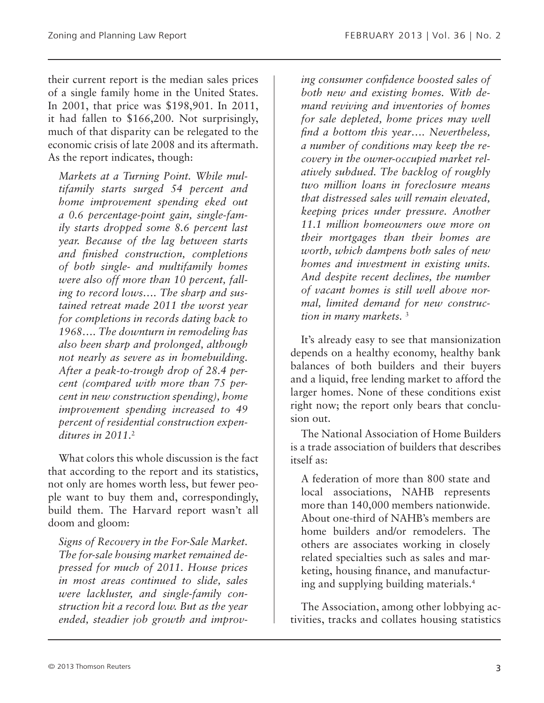their current report is the median sales prices of a single family home in the United States. In 2001, that price was \$198,901. In 2011, it had fallen to \$166,200. Not surprisingly, much of that disparity can be relegated to the economic crisis of late 2008 and its aftermath. As the report indicates, though:

*Markets at a Turning Point. While multifamily starts surged 54 percent and home improvement spending eked out a 0.6 percentage-point gain, single-family starts dropped some 8.6 percent last year. Because of the lag between starts and finished construction, completions of both single- and multifamily homes were also off more than 10 percent, falling to record lows…. The sharp and sustained retreat made 2011 the worst year for completions in records dating back to 1968…. The downturn in remodeling has also been sharp and prolonged, although not nearly as severe as in homebuilding. After a peak-to-trough drop of 28.4 percent (compared with more than 75 percent in new construction spending), home improvement spending increased to 49 percent of residential construction expenditures in 2011.*<sup>2</sup>

What colors this whole discussion is the fact that according to the report and its statistics, not only are homes worth less, but fewer people want to buy them and, correspondingly, build them. The Harvard report wasn't all doom and gloom:

*Signs of Recovery in the For-Sale Market. The for-sale housing market remained depressed for much of 2011. House prices in most areas continued to slide, sales were lackluster, and single-family construction hit a record low. But as the year ended, steadier job growth and improv-* *ing consumer confidence boosted sales of both new and existing homes. With demand reviving and inventories of homes for sale depleted, home prices may well find a bottom this year…. Nevertheless, a number of conditions may keep the recovery in the owner-occupied market relatively subdued. The backlog of roughly two million loans in foreclosure means that distressed sales will remain elevated, keeping prices under pressure. Another 11.1 million homeowners owe more on their mortgages than their homes are worth, which dampens both sales of new homes and investment in existing units. And despite recent declines, the number of vacant homes is still well above normal, limited demand for new construction in many markets.* <sup>3</sup>

It's already easy to see that mansionization depends on a healthy economy, healthy bank balances of both builders and their buyers and a liquid, free lending market to afford the larger homes. None of these conditions exist right now; the report only bears that conclusion out.

The National Association of Home Builders is a trade association of builders that describes itself as:

A federation of more than 800 state and local associations, NAHB represents more than 140,000 members nationwide. About one-third of NAHB's members are home builders and/or remodelers. The others are associates working in closely related specialties such as sales and marketing, housing finance, and manufacturing and supplying building materials.4

The Association, among other lobbying activities, tracks and collates housing statistics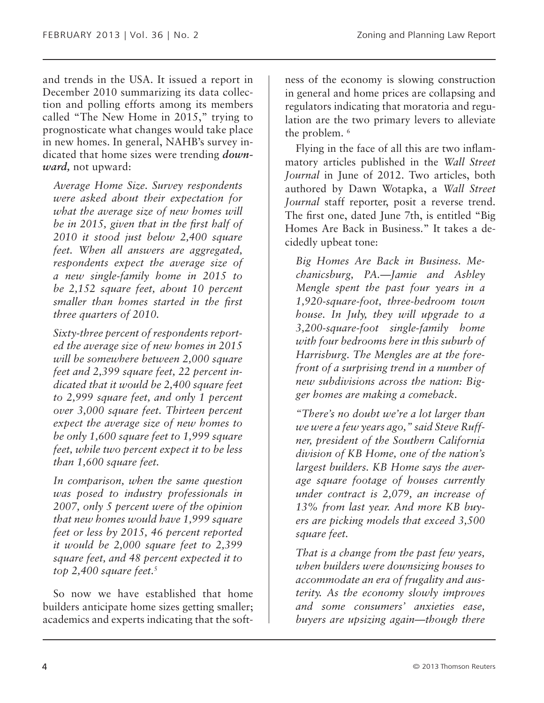and trends in the USA. It issued a report in December 2010 summarizing its data collection and polling efforts among its members called "The New Home in 2015," trying to prognosticate what changes would take place in new homes. In general, NAHB's survey indicated that home sizes were trending *downward,* not upward:

*Average Home Size. Survey respondents were asked about their expectation for what the average size of new homes will be in 2015, given that in the first half of 2010 it stood just below 2,400 square feet. When all answers are aggregated, respondents expect the average size of a new single-family home in 2015 to be 2,152 square feet, about 10 percent smaller than homes started in the first three quarters of 2010.*

*Sixty-three percent of respondents reported the average size of new homes in 2015 will be somewhere between 2,000 square feet and 2,399 square feet, 22 percent indicated that it would be 2,400 square feet to 2,999 square feet, and only 1 percent over 3,000 square feet. Thirteen percent expect the average size of new homes to be only 1,600 square feet to 1,999 square feet, while two percent expect it to be less than 1,600 square feet.*

*In comparison, when the same question was posed to industry professionals in 2007, only 5 percent were of the opinion that new homes would have 1,999 square feet or less by 2015, 46 percent reported it would be 2,000 square feet to 2,399 square feet, and 48 percent expected it to top 2,400 square feet.*<sup>5</sup>

So now we have established that home builders anticipate home sizes getting smaller; academics and experts indicating that the softness of the economy is slowing construction in general and home prices are collapsing and regulators indicating that moratoria and regulation are the two primary levers to alleviate the problem.<sup>6</sup>

Flying in the face of all this are two inflammatory articles published in the *Wall Street Journal* in June of 2012. Two articles, both authored by Dawn Wotapka, a *Wall Street Journal* staff reporter, posit a reverse trend. The first one, dated June 7th, is entitled "Big Homes Are Back in Business." It takes a decidedly upbeat tone:

*Big Homes Are Back in Business. Mechanicsburg, PA.—Jamie and Ashley Mengle spent the past four years in a 1,920-square-foot, three-bedroom town house. In July, they will upgrade to a 3,200-square-foot single-family home with four bedrooms here in this suburb of Harrisburg. The Mengles are at the forefront of a surprising trend in a number of new subdivisions across the nation: Bigger homes are making a comeback.*

*"There's no doubt we're a lot larger than we were a few years ago," said Steve Ruffner, president of the Southern California division of KB Home, one of the nation's largest builders. KB Home says the average square footage of houses currently under contract is 2,079, an increase of 13% from last year. And more KB buyers are picking models that exceed 3,500 square feet.*

*That is a change from the past few years, when builders were downsizing houses to accommodate an era of frugality and austerity. As the economy slowly improves and some consumers' anxieties ease, buyers are upsizing again—though there*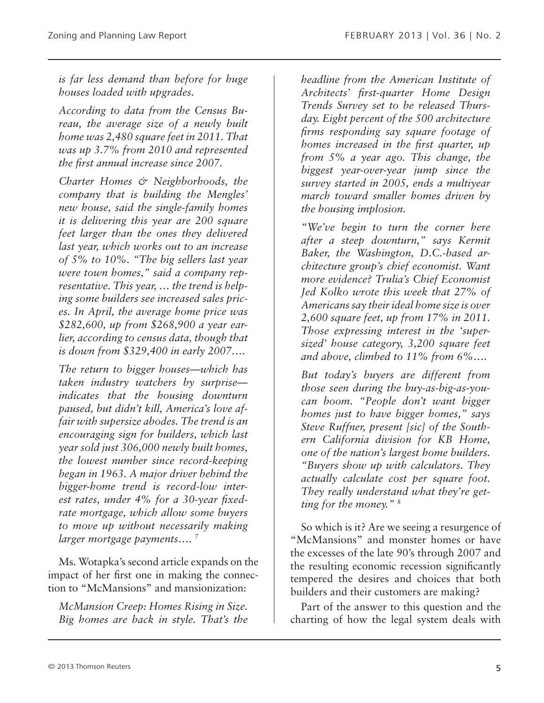*is far less demand than before for huge houses loaded with upgrades.*

*According to data from the Census Bureau, the average size of a newly built home was 2,480 square feet in 2011. That was up 3.7% from 2010 and represented the first annual increase since 2007.*

*Charter Homes & Neighborhoods, the company that is building the Mengles' new house, said the single-family homes it is delivering this year are 200 square feet larger than the ones they delivered last year, which works out to an increase of 5% to 10%. "The big sellers last year were town homes," said a company representative. This year, … the trend is helping some builders see increased sales prices. In April, the average home price was \$282,600, up from \$268,900 a year earlier, according to census data, though that is down from \$329,400 in early 2007….*

*The return to bigger houses—which has taken industry watchers by surprise indicates that the housing downturn paused, but didn't kill, America's love affair with supersize abodes. The trend is an encouraging sign for builders, which last year sold just 306,000 newly built homes, the lowest number since record-keeping began in 1963. A major driver behind the bigger-home trend is record-low interest rates, under 4% for a 30-year fixedrate mortgage, which allow some buyers to move up without necessarily making larger mortgage payments…. 7*

Ms. Wotapka's second article expands on the impact of her first one in making the connection to "McMansions" and mansionization:

*McMansion Creep: Homes Rising in Size. Big homes are back in style. That's the* 

*headline from the American Institute of Architects' first-quarter Home Design Trends Survey set to be released Thursday. Eight percent of the 500 architecture firms responding say square footage of homes increased in the first quarter, up from 5% a year ago. This change, the biggest year-over-year jump since the survey started in 2005, ends a multiyear march toward smaller homes driven by the housing implosion.*

*"We've begin to turn the corner here after a steep downturn," says Kermit Baker, the Washington, D.C.-based architecture group's chief economist. Want more evidence? Trulia's Chief Economist Jed Kolko wrote this week that 27% of Americans say their ideal home size is over 2,600 square feet, up from 17% in 2011. Those expressing interest in the 'supersized' house category, 3,200 square feet and above, climbed to 11% from 6%….*

*But today's buyers are different from those seen during the buy-as-big-as-youcan boom. "People don't want bigger homes just to have bigger homes," says Steve Ruffner, present [sic] of the Southern California division for KB Home, one of the nation's largest home builders. "Buyers show up with calculators. They actually calculate cost per square foot. They really understand what they're getting for the money."* <sup>8</sup>

So which is it? Are we seeing a resurgence of "McMansions" and monster homes or have the excesses of the late 90's through 2007 and the resulting economic recession significantly tempered the desires and choices that both builders and their customers are making?

Part of the answer to this question and the charting of how the legal system deals with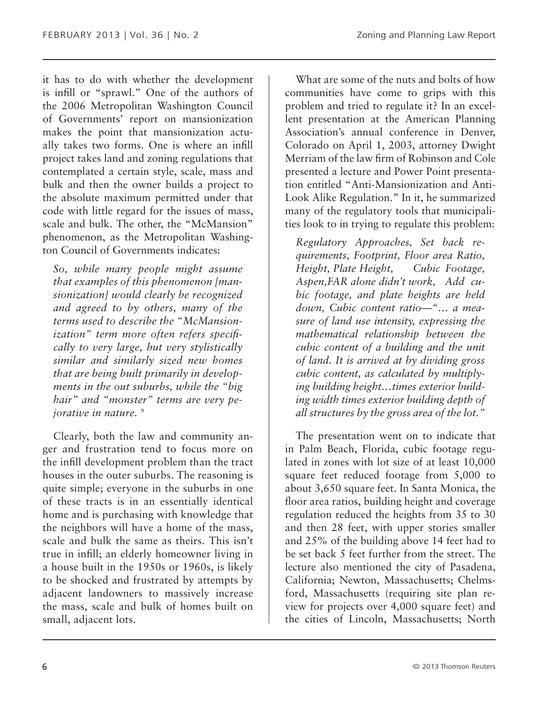it has to do with whether the development is infill or "sprawl." One of the authors of the 2006 Metropolitan Washington Council of Governments' report on mansionization makes the point that mansionization actually takes two forms. One is where an infill project takes land and zoning regulations that contemplated a certain style, scale, mass and bulk and then the owner builds a project to the absolute maximum permitted under that code with little regard for the issues of mass, scale and bulk. The other, the "McMansion" phenomenon, as the Metropolitan Washington Council of Governments indicates:

*So, while many people might assume that examples of this phenomenon [mansionization] would clearly be recognized and agreed to by others, many of the terms used to describe the "McMansionization" term more often refers specifically to very large, but very stylistically similar and similarly sized new homes that are being built primarily in developments in the out suburbs, while the "big hair" and "monster" terms are very pejorative in nature. 9*

Clearly, both the law and community anger and frustration tend to focus more on the infill development problem than the tract houses in the outer suburbs. The reasoning is quite simple; everyone in the suburbs in one of these tracts is in an essentially identical home and is purchasing with knowledge that the neighbors will have a home of the mass, scale and bulk the same as theirs. This isn't true in infill; an elderly homeowner living in a house built in the 1950s or 1960s, is likely to be shocked and frustrated by attempts by adjacent landowners to massively increase the mass, scale and bulk of homes built on small, adjacent lots.

What are some of the nuts and bolts of how communities have come to grips with this problem and tried to regulate it? In an excellent presentation at the American Planning Association's annual conference in Denver, Colorado on April 1, 2003, attorney Dwight Merriam of the law firm of Robinson and Cole presented a lecture and Power Point presentation entitled "Anti-Mansionization and Anti-Look Alike Regulation." In it, he summarized many of the regulatory tools that municipalities look to in trying to regulate this problem:

*Regulatory Approaches, Set back requirements, Footprint, Floor area Ratio, Height, Plate Height, Cubic Footage, Aspen,FAR alone didn't work, Add cubic footage, and plate heights are held down, Cubic content ratio—"… a measure of land use intensity, expressing the mathematical relationship between the cubic content of a building and the unit of land. It is arrived at by dividing gross cubic content, as calculated by multiplying building height…times exterior building width times exterior building depth of all structures by the gross area of the lot."*

The presentation went on to indicate that in Palm Beach, Florida, cubic footage regulated in zones with lot size of at least 10,000 square feet reduced footage from 5,000 to about 3,650 square feet. In Santa Monica, the floor area ratios, building height and coverage regulation reduced the heights from 35 to 30 and then 28 feet, with upper stories smaller and 25% of the building above 14 feet had to be set back 5 feet further from the street. The lecture also mentioned the city of Pasadena, California; Newton, Massachusetts; Chelmsford, Massachusetts (requiring site plan review for projects over 4,000 square feet) and the cities of Lincoln, Massachusetts; North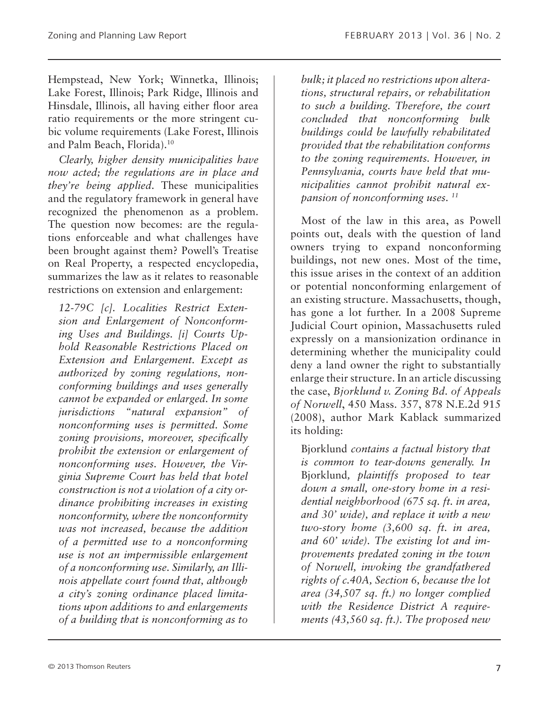Hempstead, New York; Winnetka, Illinois; Lake Forest, Illinois; Park Ridge, Illinois and Hinsdale, Illinois, all having either floor area ratio requirements or the more stringent cubic volume requirements (Lake Forest, Illinois and Palm Beach, Florida).10

*Clearly, higher density municipalities have now acted; the regulations are in place and they're being applied*. These municipalities and the regulatory framework in general have recognized the phenomenon as a problem. The question now becomes: are the regulations enforceable and what challenges have been brought against them? Powell's Treatise on Real Property, a respected encyclopedia, summarizes the law as it relates to reasonable restrictions on extension and enlargement:

*12-79C [c]. Localities Restrict Extension and Enlargement of Nonconforming Uses and Buildings. [i] Courts Uphold Reasonable Restrictions Placed on Extension and Enlargement. Except as authorized by zoning regulations, nonconforming buildings and uses generally cannot be expanded or enlarged. In some jurisdictions "natural expansion" of nonconforming uses is permitted. Some zoning provisions, moreover, specifically prohibit the extension or enlargement of nonconforming uses. However, the Virginia Supreme Court has held that hotel construction is not a violation of a city ordinance prohibiting increases in existing nonconformity, where the nonconformity was not increased, because the addition of a permitted use to a nonconforming use is not an impermissible enlargement of a nonconforming use. Similarly, an Illinois appellate court found that, although a city's zoning ordinance placed limitations upon additions to and enlargements of a building that is nonconforming as to* 

*bulk; it placed no restrictions upon alterations, structural repairs, or rehabilitation to such a building. Therefore, the court concluded that nonconforming bulk buildings could be lawfully rehabilitated provided that the rehabilitation conforms to the zoning requirements. However, in Pennsylvania, courts have held that municipalities cannot prohibit natural expansion of nonconforming uses. 11*

Most of the law in this area, as Powell points out, deals with the question of land owners trying to expand nonconforming buildings, not new ones. Most of the time, this issue arises in the context of an addition or potential nonconforming enlargement of an existing structure. Massachusetts, though, has gone a lot further. In a 2008 Supreme Judicial Court opinion, Massachusetts ruled expressly on a mansionization ordinance in determining whether the municipality could deny a land owner the right to substantially enlarge their structure. In an article discussing the case, *Bjorklund v. Zoning Bd. of Appeals of Norwell*, 450 Mass. 357, 878 N.E.2d 915 (2008), author Mark Kablack summarized its holding:

Bjorklund *contains a factual history that is common to tear-downs generally. In* Bjorklund*, plaintiffs proposed to tear down a small, one-story home in a residential neighborhood (675 sq. ft. in area, and 30' wide), and replace it with a new two-story home (3,600 sq. ft. in area, and 60' wide). The existing lot and improvements predated zoning in the town of Norwell, invoking the grandfathered rights of c.40A, Section 6, because the lot area (34,507 sq. ft.) no longer complied with the Residence District A requirements (43,560 sq. ft.). The proposed new*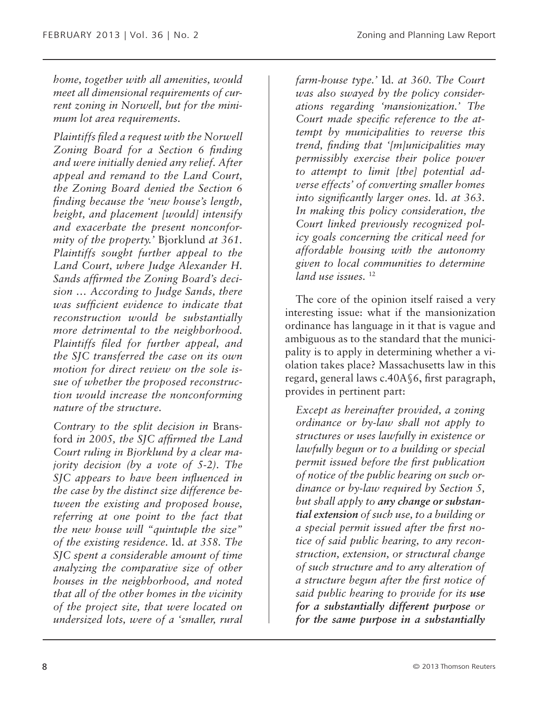*home, together with all amenities, would meet all dimensional requirements of current zoning in Norwell, but for the minimum lot area requirements.*

*Plaintiffs filed a request with the Norwell Zoning Board for a Section 6 finding and were initially denied any relief. After appeal and remand to the Land Court, the Zoning Board denied the Section 6 finding because the 'new house's length, height, and placement [would] intensify and exacerbate the present nonconformity of the property.'* Bjorklund *at 361. Plaintiffs sought further appeal to the Land Court, where Judge Alexander H. Sands affirmed the Zoning Board's decision … According to Judge Sands, there was sufficient evidence to indicate that reconstruction would be substantially more detrimental to the neighborhood. Plaintiffs filed for further appeal, and the SJC transferred the case on its own motion for direct review on the sole issue of whether the proposed reconstruction would increase the nonconforming nature of the structure.*

*Contrary to the split decision in* Bransford *in 2005, the SJC affirmed the Land Court ruling in Bjorklund by a clear majority decision (by a vote of 5-2). The SJC appears to have been influenced in the case by the distinct size difference between the existing and proposed house, referring at one point to the fact that the new house will "quintuple the size" of the existing residence.* Id. *at 358. The SJC spent a considerable amount of time analyzing the comparative size of other houses in the neighborhood, and noted that all of the other homes in the vicinity of the project site, that were located on undersized lots, were of a 'smaller, rural* 

*farm-house type.'* Id. *at 360. The Court was also swayed by the policy considerations regarding 'mansionization.' The Court made specific reference to the attempt by municipalities to reverse this trend, finding that '[m]unicipalities may permissibly exercise their police power to attempt to limit [the] potential adverse effects' of converting smaller homes into significantly larger ones.* Id. *at 363. In making this policy consideration, the Court linked previously recognized policy goals concerning the critical need for affordable housing with the autonomy given to local communities to determine land use issues.* <sup>12</sup>

The core of the opinion itself raised a very interesting issue: what if the mansionization ordinance has language in it that is vague and ambiguous as to the standard that the municipality is to apply in determining whether a violation takes place? Massachusetts law in this regard, general laws c.40A§6, first paragraph, provides in pertinent part:

*Except as hereinafter provided, a zoning ordinance or by-law shall not apply to structures or uses lawfully in existence or lawfully begun or to a building or special permit issued before the first publication of notice of the public hearing on such ordinance or by-law required by Section 5, but shall apply to any change or substantial extension of such use, to a building or a special permit issued after the first notice of said public hearing, to any reconstruction, extension, or structural change of such structure and to any alteration of a structure begun after the first notice of said public hearing to provide for its use for a substantially different purpose or for the same purpose in a substantially*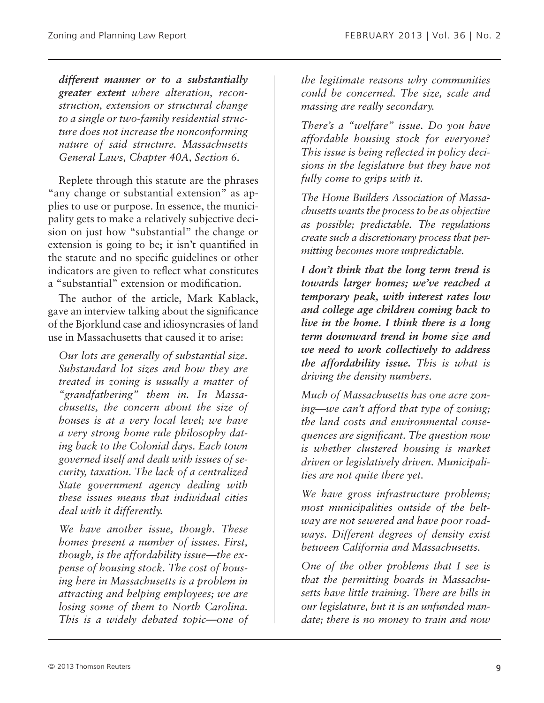*different manner or to a substantially greater extent where alteration, reconstruction, extension or structural change to a single or two-family residential structure does not increase the nonconforming nature of said structure. Massachusetts General Laws, Chapter 40A, Section 6.*

Replete through this statute are the phrases "any change or substantial extension" as applies to use or purpose. In essence, the municipality gets to make a relatively subjective decision on just how "substantial" the change or extension is going to be; it isn't quantified in the statute and no specific guidelines or other indicators are given to reflect what constitutes a "substantial" extension or modification.

The author of the article, Mark Kablack, gave an interview talking about the significance of the Bjorklund case and idiosyncrasies of land use in Massachusetts that caused it to arise:

*Our lots are generally of substantial size. Substandard lot sizes and how they are treated in zoning is usually a matter of "grandfathering" them in. In Massachusetts, the concern about the size of houses is at a very local level; we have a very strong home rule philosophy dating back to the Colonial days. Each town governed itself and dealt with issues of security, taxation. The lack of a centralized State government agency dealing with these issues means that individual cities deal with it differently.*

*We have another issue, though. These homes present a number of issues. First, though, is the affordability issue—the expense of housing stock. The cost of housing here in Massachusetts is a problem in attracting and helping employees; we are losing some of them to North Carolina. This is a widely debated topic—one of*  *the legitimate reasons why communities could be concerned. The size, scale and massing are really secondary.*

*There's a "welfare" issue. Do you have affordable housing stock for everyone? This issue is being reflected in policy decisions in the legislature but they have not fully come to grips with it.*

*The Home Builders Association of Massachusetts wants the process to be as objective as possible; predictable. The regulations create such a discretionary process that permitting becomes more unpredictable.*

*I don't think that the long term trend is towards larger homes; we've reached a temporary peak, with interest rates low and college age children coming back to live in the home. I think there is a long term downward trend in home size and we need to work collectively to address the affordability issue. This is what is driving the density numbers.*

*Much of Massachusetts has one acre zoning—we can't afford that type of zoning; the land costs and environmental consequences are significant. The question now is whether clustered housing is market driven or legislatively driven. Municipalities are not quite there yet.*

*We have gross infrastructure problems; most municipalities outside of the beltway are not sewered and have poor roadways. Different degrees of density exist between California and Massachusetts.*

*One of the other problems that I see is that the permitting boards in Massachusetts have little training. There are bills in our legislature, but it is an unfunded mandate; there is no money to train and now*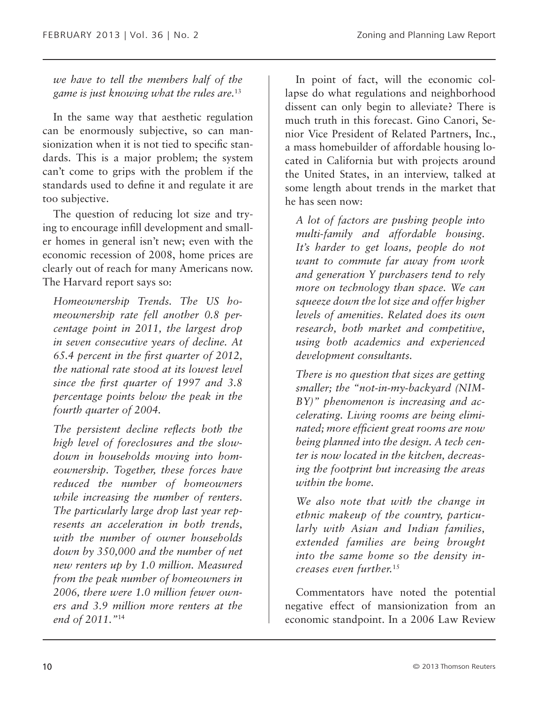*we have to tell the members half of the game is just knowing what the rules are.*<sup>13</sup>

In the same way that aesthetic regulation can be enormously subjective, so can mansionization when it is not tied to specific standards. This is a major problem; the system can't come to grips with the problem if the standards used to define it and regulate it are too subjective.

The question of reducing lot size and trying to encourage infill development and smaller homes in general isn't new; even with the economic recession of 2008, home prices are clearly out of reach for many Americans now. The Harvard report says so:

*Homeownership Trends. The US homeownership rate fell another 0.8 percentage point in 2011, the largest drop in seven consecutive years of decline. At 65.4 percent in the first quarter of 2012, the national rate stood at its lowest level since the first quarter of 1997 and 3.8 percentage points below the peak in the fourth quarter of 2004.*

*The persistent decline reflects both the high level of foreclosures and the slowdown in households moving into homeownership. Together, these forces have reduced the number of homeowners while increasing the number of renters. The particularly large drop last year represents an acceleration in both trends, with the number of owner households down by 350,000 and the number of net new renters up by 1.0 million. Measured from the peak number of homeowners in 2006, there were 1.0 million fewer owners and 3.9 million more renters at the end of 2011."*<sup>14</sup>

In point of fact, will the economic collapse do what regulations and neighborhood dissent can only begin to alleviate? There is much truth in this forecast. Gino Canori, Senior Vice President of Related Partners, Inc., a mass homebuilder of affordable housing located in California but with projects around the United States, in an interview, talked at some length about trends in the market that he has seen now:

*A lot of factors are pushing people into multi-family and affordable housing. It's harder to get loans, people do not want to commute far away from work and generation Y purchasers tend to rely more on technology than space. We can squeeze down the lot size and offer higher levels of amenities. Related does its own research, both market and competitive, using both academics and experienced development consultants.*

*There is no question that sizes are getting smaller; the "not-in-my-backyard (NIM-BY)" phenomenon is increasing and accelerating. Living rooms are being eliminated; more efficient great rooms are now being planned into the design. A tech center is now located in the kitchen, decreasing the footprint but increasing the areas within the home.*

*We also note that with the change in ethnic makeup of the country, particularly with Asian and Indian families, extended families are being brought into the same home so the density increases even further.*<sup>15</sup>

Commentators have noted the potential negative effect of mansionization from an economic standpoint. In a 2006 Law Review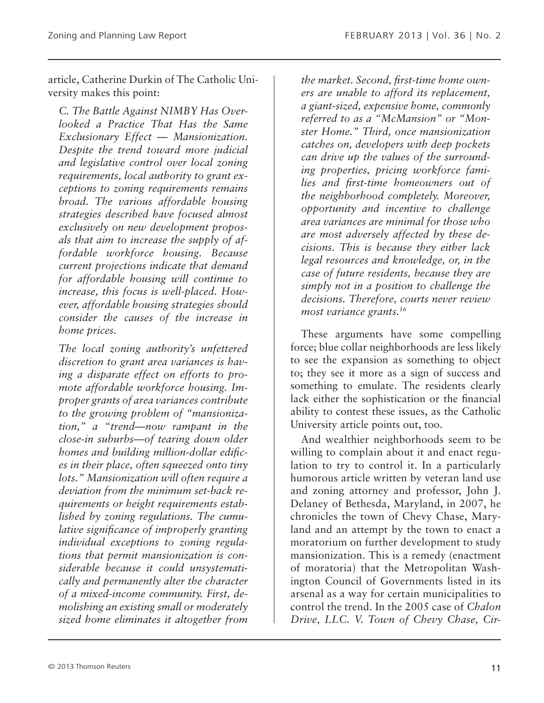article, Catherine Durkin of The Catholic University makes this point:

*C. The Battle Against NIMBY Has Overlooked a Practice That Has the Same Exclusionary Effect — Mansionization. Despite the trend toward more judicial and legislative control over local zoning requirements, local authority to grant exceptions to zoning requirements remains broad. The various affordable housing strategies described have focused almost exclusively on new development proposals that aim to increase the supply of affordable workforce housing. Because current projections indicate that demand for affordable housing will continue to increase, this focus is well-placed. However, affordable housing strategies should consider the causes of the increase in home prices.*

*The local zoning authority's unfettered discretion to grant area variances is having a disparate effect on efforts to promote affordable workforce housing. Improper grants of area variances contribute to the growing problem of "mansionization," a "trend—now rampant in the close-in suburbs—of tearing down older homes and building million-dollar edifices in their place, often squeezed onto tiny lots." Mansionization will often require a deviation from the minimum set-back requirements or height requirements established by zoning regulations. The cumulative significance of improperly granting individual exceptions to zoning regulations that permit mansionization is considerable because it could unsystematically and permanently alter the character of a mixed-income community. First, demolishing an existing small or moderately sized home eliminates it altogether from* 

*the market. Second, first-time home owners are unable to afford its replacement, a giant-sized, expensive home, commonly referred to as a "McMansion" or "Monster Home." Third, once mansionization catches on, developers with deep pockets can drive up the values of the surrounding properties, pricing workforce families and first-time homeowners out of the neighborhood completely. Moreover, opportunity and incentive to challenge area variances are minimal for those who are most adversely affected by these decisions. This is because they either lack legal resources and knowledge, or, in the case of future residents, because they are simply not in a position to challenge the decisions. Therefore, courts never review most variance grants.16*

These arguments have some compelling force; blue collar neighborhoods are less likely to see the expansion as something to object to; they see it more as a sign of success and something to emulate. The residents clearly lack either the sophistication or the financial ability to contest these issues, as the Catholic University article points out, too.

And wealthier neighborhoods seem to be willing to complain about it and enact regulation to try to control it. In a particularly humorous article written by veteran land use and zoning attorney and professor, John J. Delaney of Bethesda, Maryland, in 2007, he chronicles the town of Chevy Chase, Maryland and an attempt by the town to enact a moratorium on further development to study mansionization. This is a remedy (enactment of moratoria) that the Metropolitan Washington Council of Governments listed in its arsenal as a way for certain municipalities to control the trend. In the 2005 case of *Chalon Drive, LLC. V. Town of Chevy Chase, Cir-*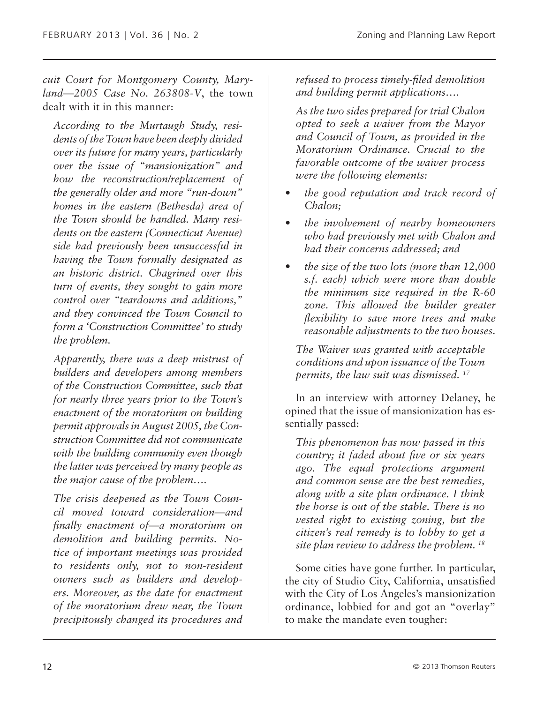*cuit Court for Montgomery County, Maryland—2005 Case No. 263808-V*, the town dealt with it in this manner:

*According to the Murtaugh Study, residents of the Town have been deeply divided over its future for many years, particularly over the issue of "mansionization" and how the reconstruction/replacement of the generally older and more "run-down" homes in the eastern (Bethesda) area of the Town should be handled. Many residents on the eastern (Connecticut Avenue) side had previously been unsuccessful in having the Town formally designated as an historic district. Chagrined over this turn of events, they sought to gain more control over "teardowns and additions," and they convinced the Town Council to form a 'Construction Committee' to study the problem.*

*Apparently, there was a deep mistrust of builders and developers among members of the Construction Committee, such that for nearly three years prior to the Town's enactment of the moratorium on building permit approvals in August 2005, the Construction Committee did not communicate with the building community even though the latter was perceived by many people as the major cause of the problem….*

*The crisis deepened as the Town Council moved toward consideration—and finally enactment of—a moratorium on demolition and building permits. Notice of important meetings was provided to residents only, not to non-resident owners such as builders and developers. Moreover, as the date for enactment of the moratorium drew near, the Town precipitously changed its procedures and*  *refused to process timely-filed demolition and building permit applications….*

*As the two sides prepared for trial Chalon opted to seek a waiver from the Mayor and Council of Town, as provided in the Moratorium Ordinance. Crucial to the favorable outcome of the waiver process were the following elements:*

- *• the good reputation and track record of Chalon;*
- *• the involvement of nearby homeowners who had previously met with Chalon and had their concerns addressed; and*
- *• the size of the two lots (more than 12,000 s.f. each) which were more than double the minimum size required in the R-60 zone. This allowed the builder greater flexibility to save more trees and make reasonable adjustments to the two houses.*

*The Waiver was granted with acceptable conditions and upon issuance of the Town permits, the law suit was dismissed. 17*

In an interview with attorney Delaney, he opined that the issue of mansionization has essentially passed:

*This phenomenon has now passed in this country; it faded about five or six years ago. The equal protections argument and common sense are the best remedies, along with a site plan ordinance. I think the horse is out of the stable. There is no vested right to existing zoning, but the citizen's real remedy is to lobby to get a site plan review to address the problem. 18*

Some cities have gone further. In particular, the city of Studio City, California, unsatisfied with the City of Los Angeles's mansionization ordinance, lobbied for and got an "overlay" to make the mandate even tougher: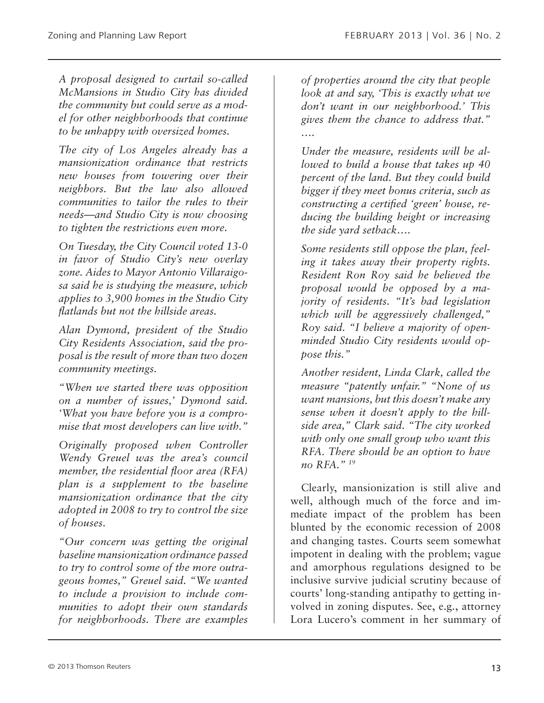*A proposal designed to curtail so-called McMansions in Studio City has divided the community but could serve as a model for other neighborhoods that continue to be unhappy with oversized homes.*

*The city of Los Angeles already has a mansionization ordinance that restricts new houses from towering over their neighbors. But the law also allowed communities to tailor the rules to their needs—and Studio City is now choosing to tighten the restrictions even more.*

*On Tuesday, the City Council voted 13-0 in favor of Studio City's new overlay zone. Aides to Mayor Antonio Villaraigosa said he is studying the measure, which applies to 3,900 homes in the Studio City flatlands but not the hillside areas.*

*Alan Dymond, president of the Studio City Residents Association, said the proposal is the result of more than two dozen community meetings.*

*"When we started there was opposition on a number of issues,' Dymond said. 'What you have before you is a compromise that most developers can live with."*

*Originally proposed when Controller Wendy Greuel was the area's council member, the residential floor area (RFA) plan is a supplement to the baseline mansionization ordinance that the city adopted in 2008 to try to control the size of houses.*

*"Our concern was getting the original baseline mansionization ordinance passed to try to control some of the more outrageous homes," Greuel said. "We wanted to include a provision to include communities to adopt their own standards for neighborhoods. There are examples* 

*of properties around the city that people look at and say, 'This is exactly what we don't want in our neighborhood.' This gives them the chance to address that." ….*

*Under the measure, residents will be allowed to build a house that takes up 40 percent of the land. But they could build bigger if they meet bonus criteria, such as constructing a certified 'green' house, reducing the building height or increasing the side yard setback….*

*Some residents still oppose the plan, feeling it takes away their property rights. Resident Ron Roy said he believed the proposal would be opposed by a majority of residents. "It's bad legislation which will be aggressively challenged," Roy said. "I believe a majority of openminded Studio City residents would oppose this."*

*Another resident, Linda Clark, called the measure "patently unfair." "None of us want mansions, but this doesn't make any sense when it doesn't apply to the hillside area," Clark said. "The city worked with only one small group who want this RFA. There should be an option to have no RFA." 19*

Clearly, mansionization is still alive and well, although much of the force and immediate impact of the problem has been blunted by the economic recession of 2008 and changing tastes. Courts seem somewhat impotent in dealing with the problem; vague and amorphous regulations designed to be inclusive survive judicial scrutiny because of courts' long-standing antipathy to getting involved in zoning disputes. See, e.g., attorney Lora Lucero's comment in her summary of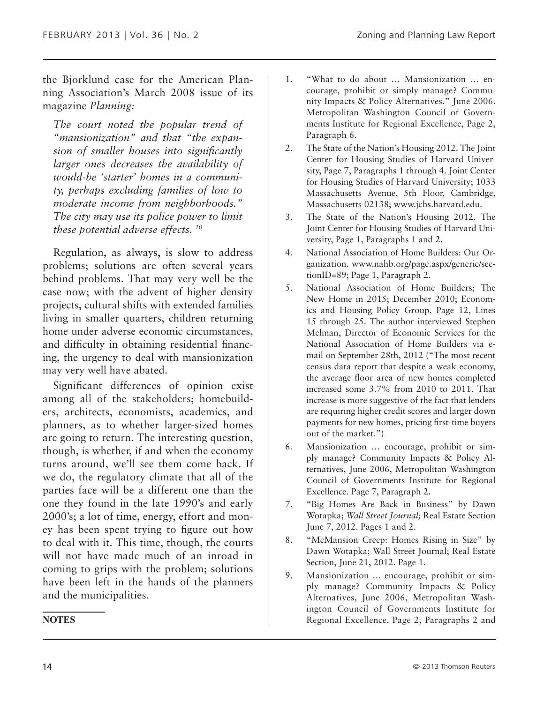the Bjorklund case for the American Planning Association's March 2008 issue of its magazine *Planning:*

*The court noted the popular trend of "mansionization" and that "the expansion of smaller houses into significantly larger ones decreases the availability of would-be 'starter' homes in a community, perhaps excluding families of low to moderate income from neighborhoods." The city may use its police power to limit these potential adverse effects. 20*

Regulation, as always, is slow to address problems; solutions are often several years behind problems. That may very well be the case now; with the advent of higher density projects, cultural shifts with extended families living in smaller quarters, children returning home under adverse economic circumstances, and difficulty in obtaining residential financing, the urgency to deal with mansionization may very well have abated.

Significant differences of opinion exist among all of the stakeholders; homebuilders, architects, economists, academics, and planners, as to whether larger-sized homes are going to return. The interesting question, though, is whether, if and when the economy turns around, we'll see them come back. If we do, the regulatory climate that all of the parties face will be a different one than the one they found in the late 1990's and early 2000's; a lot of time, energy, effort and money has been spent trying to figure out how to deal with it. This time, though, the courts will not have made much of an inroad in coming to grips with the problem; solutions have been left in the hands of the planners and the municipalities.

- 1. "What to do about … Mansionization … encourage, prohibit or simply manage? Community Impacts & Policy Alternatives." June 2006. Metropolitan Washington Council of Governments Institute for Regional Excellence, Page 2, Paragraph 6.
- 2. The State of the Nation's Housing 2012. The Joint Center for Housing Studies of Harvard University, Page 7, Paragraphs 1 through 4. Joint Center for Housing Studies of Harvard University; 1033 Massachusetts Avenue, 5th Floor, Cambridge, Massachusetts 02138; www.jchs.harvard.edu.
- 3. The State of the Nation's Housing 2012. The Joint Center for Housing Studies of Harvard University, Page 1, Paragraphs 1 and 2.
- 4. National Association of Home Builders: Our Organization. www.nahb.org/page.aspx/generic/sectionID=89; Page 1, Paragraph 2.
- 5. National Association of Home Builders; The New Home in 2015; December 2010; Economics and Housing Policy Group. Page 12, Lines 15 through 25. The author interviewed Stephen Melman, Director of Economic Services for the National Association of Home Builders via email on September 28th, 2012 ("The most recent census data report that despite a weak economy, the average floor area of new homes completed increased some 3.7% from 2010 to 2011. That increase is more suggestive of the fact that lenders are requiring higher credit scores and larger down payments for new homes, pricing first-time buyers out of the market.")
- 6. Mansionization … encourage, prohibit or simply manage? Community Impacts & Policy Alternatives, June 2006, Metropolitan Washington Council of Governments Institute for Regional Excellence. Page 7, Paragraph 2.
- 7. "Big Homes Are Back in Business" by Dawn Wotapka; *Wall Street Journal;* Real Estate Section June 7, 2012. Pages 1 and 2.
- 8. "McMansion Creep: Homes Rising in Size" by Dawn Wotapka; Wall Street Journal; Real Estate Section, June 21, 2012. Page 1.
- 9. Mansionization … encourage, prohibit or simply manage? Community Impacts & Policy Alternatives, June 2006, Metropolitan Washington Council of Governments Institute for Regional Excellence. Page 2, Paragraphs 2 and

#### **NOTES**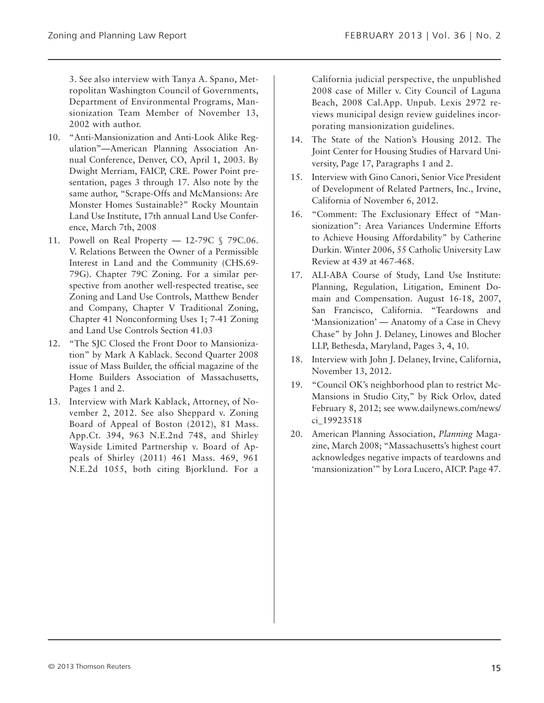3. See also interview with Tanya A. Spano, Metropolitan Washington Council of Governments, Department of Environmental Programs, Mansionization Team Member of November 13, 2002 with author.

- 10. "Anti-Mansionization and Anti-Look Alike Regulation"—American Planning Association Annual Conference, Denver, CO, April 1, 2003. By Dwight Merriam, FAICP, CRE. Power Point presentation, pages 3 through 17. Also note by the same author, "Scrape-Offs and McMansions: Are Monster Homes Sustainable?" Rocky Mountain Land Use Institute, 17th annual Land Use Conference, March 7th, 2008
- 11. Powell on Real Property 12-79C § 79C.06. V. Relations Between the Owner of a Permissible Interest in Land and the Community (CHS.69- 79G). Chapter 79C Zoning. For a similar perspective from another well-respected treatise, see Zoning and Land Use Controls, Matthew Bender and Company, Chapter V Traditional Zoning, Chapter 41 Nonconforming Uses 1; 7-41 Zoning and Land Use Controls Section 41.03
- 12. "The SJC Closed the Front Door to Mansionization" by Mark A Kablack. Second Quarter 2008 issue of Mass Builder, the official magazine of the Home Builders Association of Massachusetts, Pages 1 and 2.
- 13. Interview with Mark Kablack, Attorney, of November 2, 2012. See also Sheppard v. Zoning Board of Appeal of Boston (2012), 81 Mass. App.Ct. 394, 963 N.E.2nd 748, and Shirley Wayside Limited Partnership v. Board of Appeals of Shirley (2011) 461 Mass. 469, 961 N.E.2d 1055, both citing Bjorklund. For a

California judicial perspective, the unpublished 2008 case of Miller v. City Council of Laguna Beach, 2008 Cal.App. Unpub. Lexis 2972 reviews municipal design review guidelines incorporating mansionization guidelines.

- 14. The State of the Nation's Housing 2012. The Joint Center for Housing Studies of Harvard University, Page 17, Paragraphs 1 and 2.
- 15. Interview with Gino Canori, Senior Vice President of Development of Related Partners, Inc., Irvine, California of November 6, 2012.
- 16. "Comment: The Exclusionary Effect of "Mansionization": Area Variances Undermine Efforts to Achieve Housing Affordability" by Catherine Durkin. Winter 2006, 55 Catholic University Law Review at 439 at 467-468.
- 17. ALI-ABA Course of Study, Land Use Institute: Planning, Regulation, Litigation, Eminent Domain and Compensation. August 16-18, 2007, San Francisco, California. "Teardowns and 'Mansionization' — Anatomy of a Case in Chevy Chase" by John J. Delaney, Linowes and Blocher LLP, Bethesda, Maryland, Pages 3, 4, 10.
- 18. Interview with John J. Delaney, Irvine, California, November 13, 2012.
- 19. "Council OK's neighborhood plan to restrict Mc-Mansions in Studio City," by Rick Orlov, dated February 8, 2012; see www.dailynews.com/news/ ci\_19923518
- 20. American Planning Association, *Planning* Magazine, March 2008; "Massachusetts's highest court acknowledges negative impacts of teardowns and 'mansionization'" by Lora Lucero, AICP. Page 47.